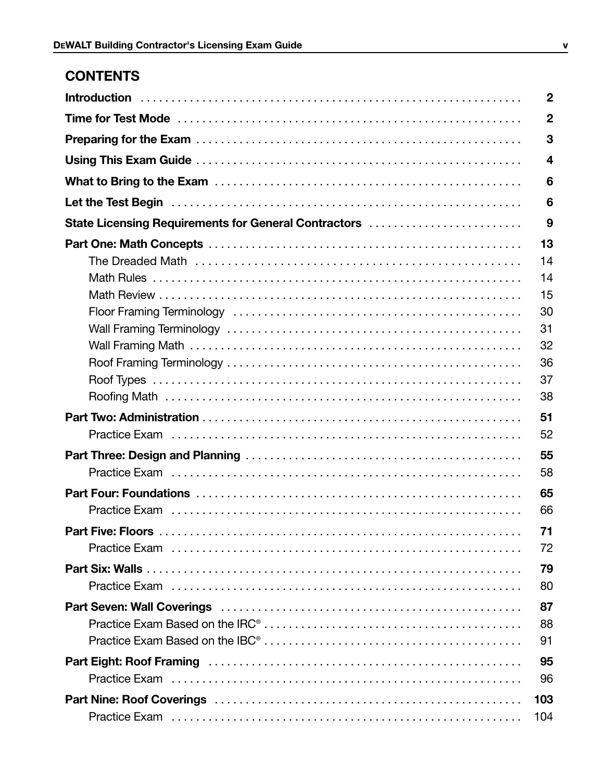# **CONTENTS**

|                                                      | $\boldsymbol{2}$ |  |  |  |
|------------------------------------------------------|------------------|--|--|--|
|                                                      | $\boldsymbol{2}$ |  |  |  |
|                                                      | 3                |  |  |  |
|                                                      | 4                |  |  |  |
|                                                      | 6                |  |  |  |
|                                                      |                  |  |  |  |
| State Licensing Requirements for General Contractors | 9                |  |  |  |
|                                                      | 13               |  |  |  |
|                                                      | 14               |  |  |  |
|                                                      | 14               |  |  |  |
|                                                      | 15               |  |  |  |
|                                                      | 30               |  |  |  |
|                                                      | 31               |  |  |  |
|                                                      | 32               |  |  |  |
|                                                      | 36               |  |  |  |
|                                                      | 37               |  |  |  |
|                                                      | 38               |  |  |  |
|                                                      | 51               |  |  |  |
|                                                      | 52               |  |  |  |
|                                                      | 55               |  |  |  |
|                                                      | 58               |  |  |  |
|                                                      | 65               |  |  |  |
|                                                      | 66               |  |  |  |
|                                                      |                  |  |  |  |
|                                                      | 71               |  |  |  |
|                                                      | 72               |  |  |  |
|                                                      | 79               |  |  |  |
|                                                      | 80               |  |  |  |
|                                                      | 87               |  |  |  |
|                                                      | 88               |  |  |  |
|                                                      | 91               |  |  |  |
|                                                      | 95               |  |  |  |
|                                                      | 96               |  |  |  |
|                                                      | 103              |  |  |  |
|                                                      | 104              |  |  |  |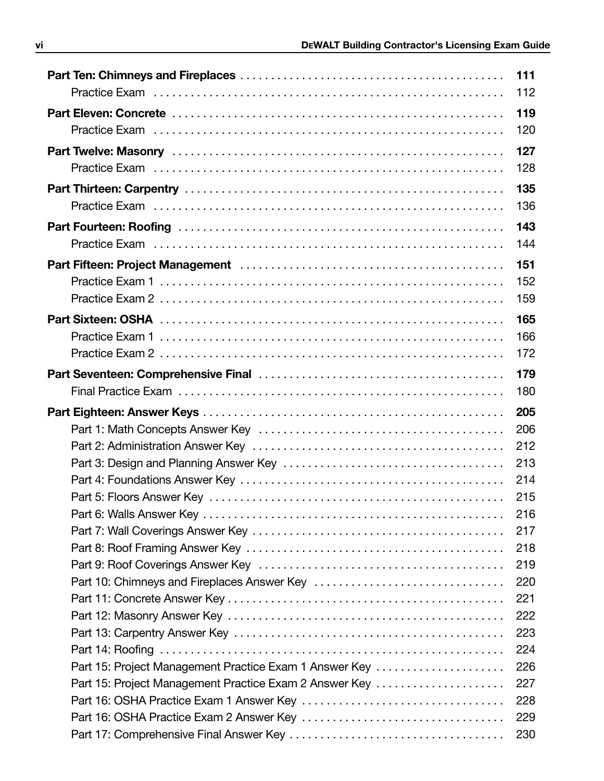|                                                        | 111<br>112 |
|--------------------------------------------------------|------------|
|                                                        | 119        |
|                                                        | 120        |
|                                                        | 127        |
|                                                        | 128        |
|                                                        | 135        |
|                                                        | 136        |
|                                                        | 143        |
|                                                        | 144        |
|                                                        | 151        |
|                                                        | 152        |
|                                                        | 159        |
|                                                        | 165        |
|                                                        | 166        |
|                                                        | 172        |
|                                                        | 179        |
|                                                        | 180        |
|                                                        |            |
|                                                        | 205        |
|                                                        | 206        |
|                                                        | 212        |
|                                                        | 213        |
|                                                        | 214        |
|                                                        | 215        |
|                                                        | 216        |
|                                                        | 217        |
|                                                        | 218        |
|                                                        | 219        |
|                                                        | 220        |
|                                                        | 221        |
|                                                        | 222        |
|                                                        | 223        |
|                                                        | 224        |
| Part 15: Project Management Practice Exam 1 Answer Key | 226        |
| Part 15: Project Management Practice Exam 2 Answer Key | 227        |
|                                                        | 228        |
|                                                        | 229        |
|                                                        | 230        |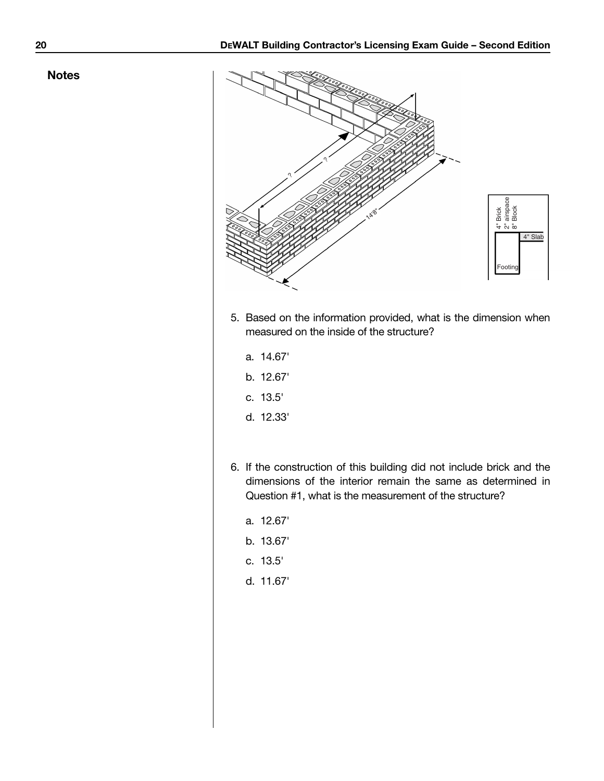#### **Notes**



- 5. Based on the information provided, what is the dimension when measured on the inside of the structure?
	- a. 14.67'
	- b. 12.67'
	- c. 13.5'
	- d. 12.33'
- 6. If the construction of this building did not include brick and the dimensions of the interior remain the same as determined in Question #1, what is the measurement of the structure?
	- a. 12.67'
	- b. 13.67'
	- c. 13.5'
	- d. 11.67'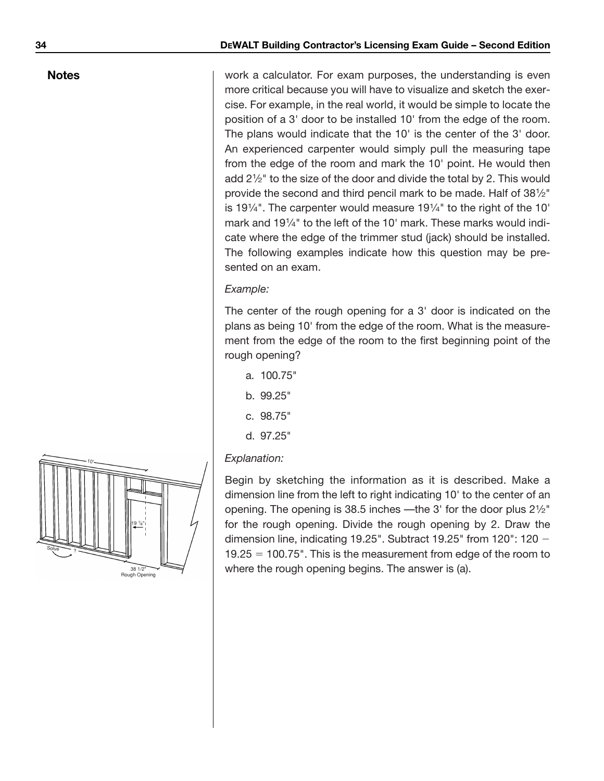### **Notes**

work a calculator. For exam purposes, the understanding is even more critical because you will have to visualize and sketch the exercise. For example, in the real world, it would be simple to locate the position of a 3' door to be installed 10' from the edge of the room. The plans would indicate that the 10' is the center of the 3' door. An experienced carpenter would simply pull the measuring tape from the edge of the room and mark the 10' point. He would then add 21 ⁄2" to the size of the door and divide the total by 2. This would provide the second and third pencil mark to be made. Half of 381/2" is 191 ⁄4". The carpenter would measure 191⁄4" to the right of the 10' mark and 191⁄4" to the left of the 10' mark. These marks would indicate where the edge of the trimmer stud (jack) should be installed. The following examples indicate how this question may be presented on an exam.

### *Example:*

The center of the rough opening for a 3' door is indicated on the plans as being 10' from the edge of the room. What is the measurement from the edge of the room to the first beginning point of the rough opening?

- a. 100.75"
- b. 99.25"
- c. 98.75"
- d. 97.25"

## *Explanation:*

Begin by sketching the information as it is described. Make a dimension line from the left to right indicating 10' to the center of an opening. The opening is 38.5 inches —the 3' for the door plus  $2\frac{1}{2}$ " for the rough opening. Divide the rough opening by 2. Draw the dimension line, indicating 19.25". Subtract 19.25" from 120": 120  $19.25 = 100.75$ ". This is the measurement from edge of the room to where the rough opening begins. The answer is (a).

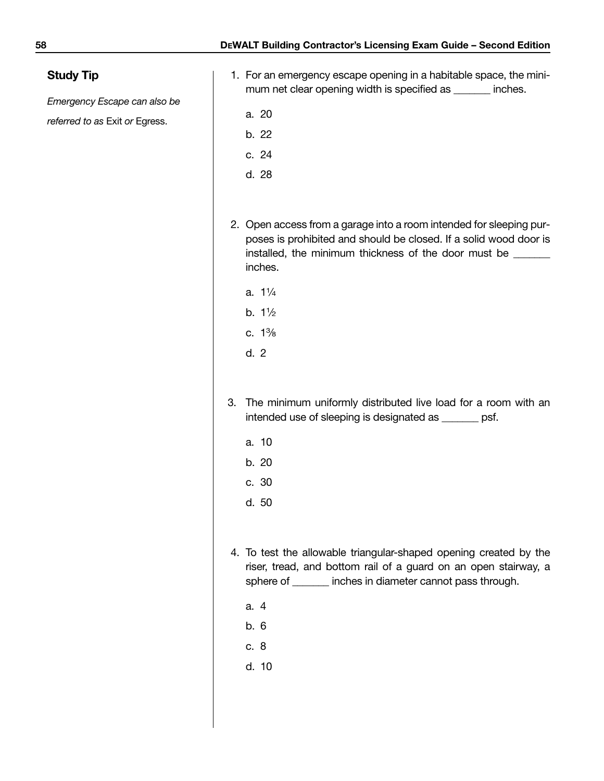# **Study Tip**

*Emergency Escape can also be*

## *referred to as* Exit *or* Egress.

- 1. For an emergency escape opening in a habitable space, the minimum net clear opening width is specified as \_\_\_\_\_\_\_ inches.
	- a. 20
	- b. 22
	- c. 24
	- d. 28
- 2. Open access from a garage into a room intended for sleeping purposes is prohibited and should be closed. If a solid wood door is installed, the minimum thickness of the door must be \_\_\_\_\_\_ inches.
	- a. 11 ⁄4
	- b. 11 ⁄2
	- c. 13 ⁄8
	- d. 2
- 3. The minimum uniformly distributed live load for a room with an intended use of sleeping is designated as \_\_\_\_\_\_\_ psf.
	- a. 10
	- b. 20
	- c. 30
	- d. 50
- 4. To test the allowable triangular-shaped opening created by the riser, tread, and bottom rail of a guard on an open stairway, a sphere of \_\_\_\_\_\_\_ inches in diameter cannot pass through.
	- a. 4
	- b. 6
	- c. 8
	- d. 10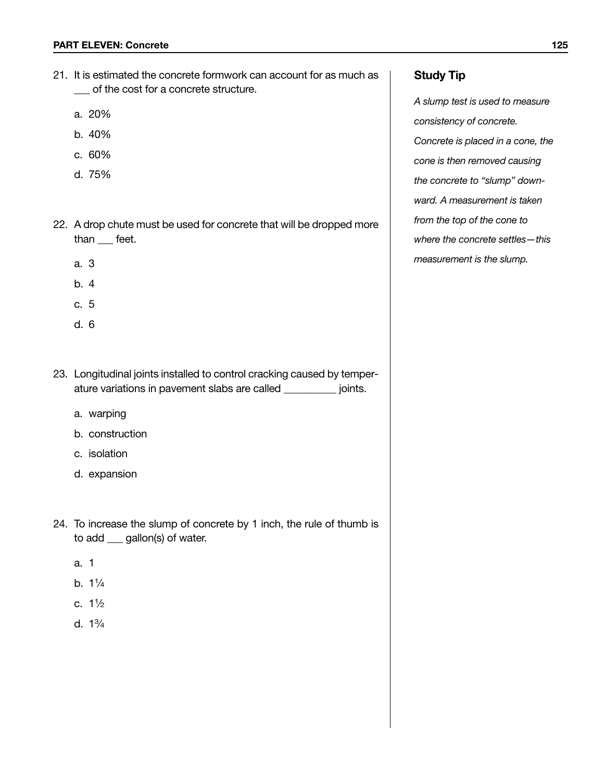- 21. It is estimated the concrete formwork can account for as much as \_\_\_ of the cost for a concrete structure.
	- a. 20%
	- b. 40%
	- c. 60%
	- d. 75%
- 22. A drop chute must be used for concrete that will be dropped more than \_\_\_ feet.
	- a. 3
	- b. 4
	- c. 5
	- d. 6
- 23. Longitudinal joints installed to control cracking caused by temperature variations in pavement slabs are called \_\_\_\_\_\_\_\_\_\_ joints.
	- a. warping
	- b. construction
	- c. isolation
	- d. expansion
- 24. To increase the slump of concrete by 1 inch, the rule of thumb is to add \_\_\_ gallon(s) of water.
	- a. 1
	- b. 11 ⁄4
	- c. 11 ⁄2
	- d. 13 ⁄4

# **Study Tip**

*A slump test is used to measure consistency of concrete. Concrete is placed in a cone, the cone is then removed causing the concrete to "slump" downward. A measurement is taken from the top of the cone to where the concrete settles—this measurement is the slump.*